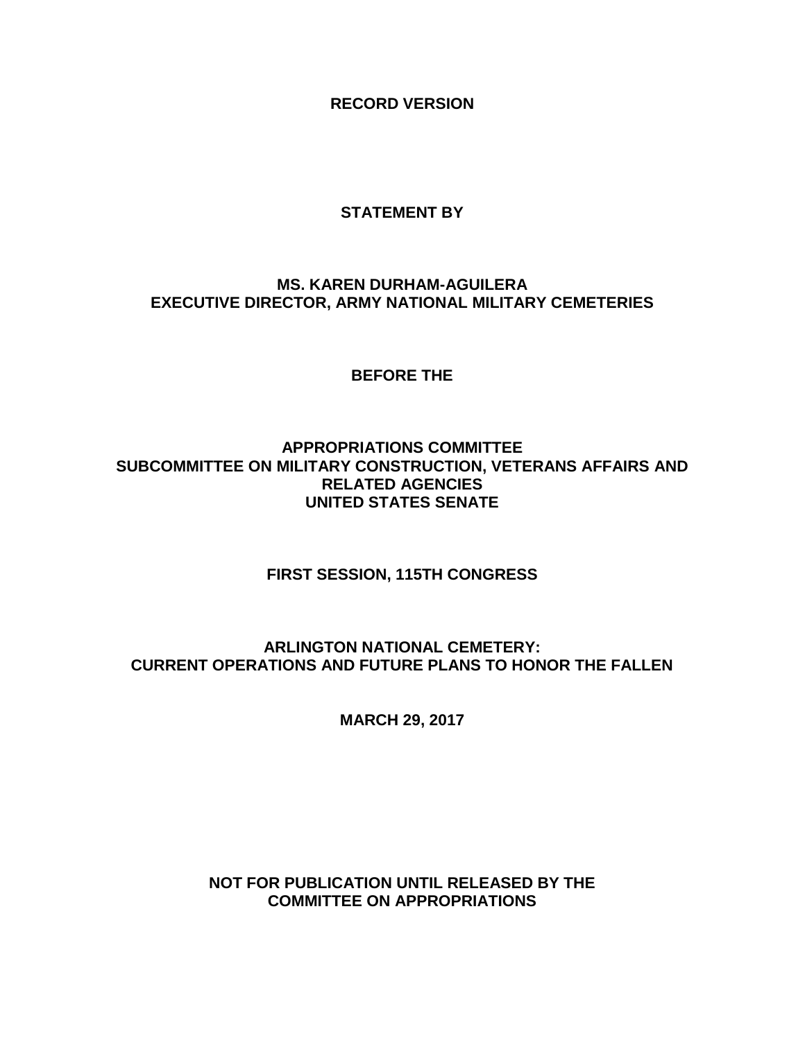**RECORD VERSION**

# **STATEMENT BY**

# **MS. KAREN DURHAM-AGUILERA EXECUTIVE DIRECTOR, ARMY NATIONAL MILITARY CEMETERIES**

**BEFORE THE**

**APPROPRIATIONS COMMITTEE SUBCOMMITTEE ON MILITARY CONSTRUCTION, VETERANS AFFAIRS AND RELATED AGENCIES UNITED STATES SENATE**

**FIRST SESSION, 115TH CONGRESS**

**ARLINGTON NATIONAL CEMETERY: CURRENT OPERATIONS AND FUTURE PLANS TO HONOR THE FALLEN**

**MARCH 29, 2017**

**NOT FOR PUBLICATION UNTIL RELEASED BY THE COMMITTEE ON APPROPRIATIONS**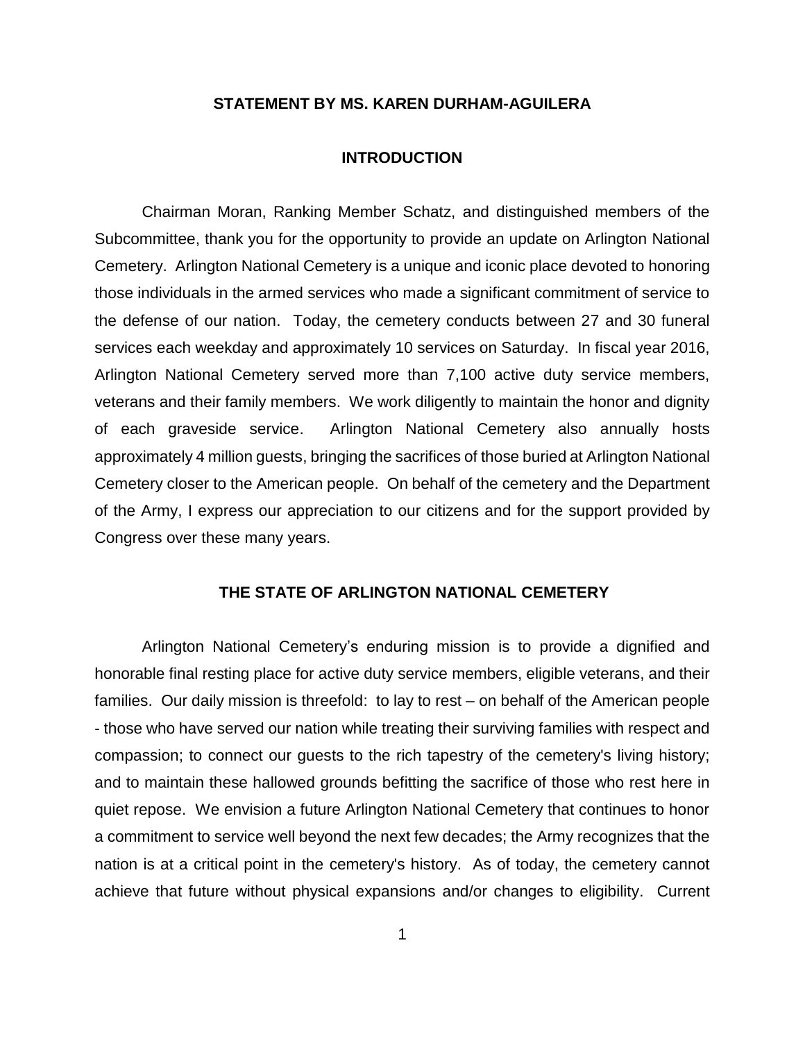### **STATEMENT BY MS. KAREN DURHAM-AGUILERA**

#### **INTRODUCTION**

Chairman Moran, Ranking Member Schatz, and distinguished members of the Subcommittee, thank you for the opportunity to provide an update on Arlington National Cemetery. Arlington National Cemetery is a unique and iconic place devoted to honoring those individuals in the armed services who made a significant commitment of service to the defense of our nation. Today, the cemetery conducts between 27 and 30 funeral services each weekday and approximately 10 services on Saturday. In fiscal year 2016, Arlington National Cemetery served more than 7,100 active duty service members, veterans and their family members. We work diligently to maintain the honor and dignity of each graveside service. Arlington National Cemetery also annually hosts approximately 4 million guests, bringing the sacrifices of those buried at Arlington National Cemetery closer to the American people. On behalf of the cemetery and the Department of the Army, I express our appreciation to our citizens and for the support provided by Congress over these many years.

## **THE STATE OF ARLINGTON NATIONAL CEMETERY**

Arlington National Cemetery's enduring mission is to provide a dignified and honorable final resting place for active duty service members, eligible veterans, and their families. Our daily mission is threefold: to lay to rest – on behalf of the American people - those who have served our nation while treating their surviving families with respect and compassion; to connect our guests to the rich tapestry of the cemetery's living history; and to maintain these hallowed grounds befitting the sacrifice of those who rest here in quiet repose. We envision a future Arlington National Cemetery that continues to honor a commitment to service well beyond the next few decades; the Army recognizes that the nation is at a critical point in the cemetery's history. As of today, the cemetery cannot achieve that future without physical expansions and/or changes to eligibility. Current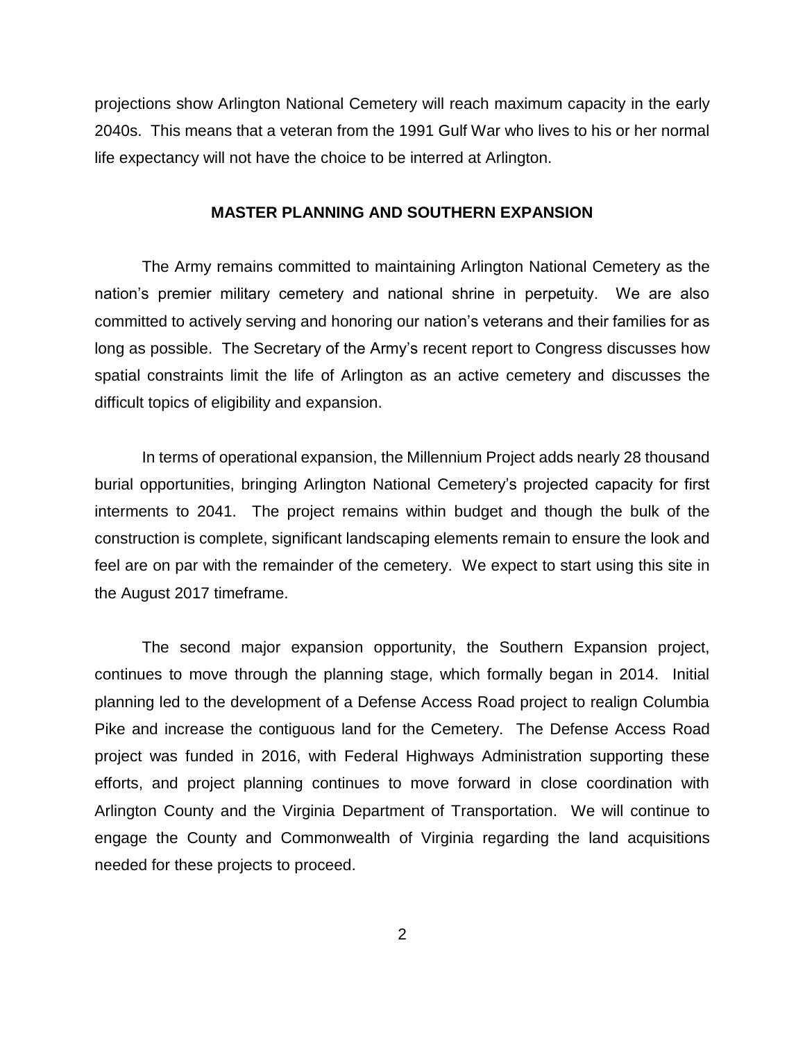projections show Arlington National Cemetery will reach maximum capacity in the early 2040s. This means that a veteran from the 1991 Gulf War who lives to his or her normal life expectancy will not have the choice to be interred at Arlington.

#### **MASTER PLANNING AND SOUTHERN EXPANSION**

The Army remains committed to maintaining Arlington National Cemetery as the nation's premier military cemetery and national shrine in perpetuity. We are also committed to actively serving and honoring our nation's veterans and their families for as long as possible. The Secretary of the Army's recent report to Congress discusses how spatial constraints limit the life of Arlington as an active cemetery and discusses the difficult topics of eligibility and expansion.

In terms of operational expansion, the Millennium Project adds nearly 28 thousand burial opportunities, bringing Arlington National Cemetery's projected capacity for first interments to 2041. The project remains within budget and though the bulk of the construction is complete, significant landscaping elements remain to ensure the look and feel are on par with the remainder of the cemetery. We expect to start using this site in the August 2017 timeframe.

The second major expansion opportunity, the Southern Expansion project, continues to move through the planning stage, which formally began in 2014. Initial planning led to the development of a Defense Access Road project to realign Columbia Pike and increase the contiguous land for the Cemetery. The Defense Access Road project was funded in 2016, with Federal Highways Administration supporting these efforts, and project planning continues to move forward in close coordination with Arlington County and the Virginia Department of Transportation. We will continue to engage the County and Commonwealth of Virginia regarding the land acquisitions needed for these projects to proceed.

2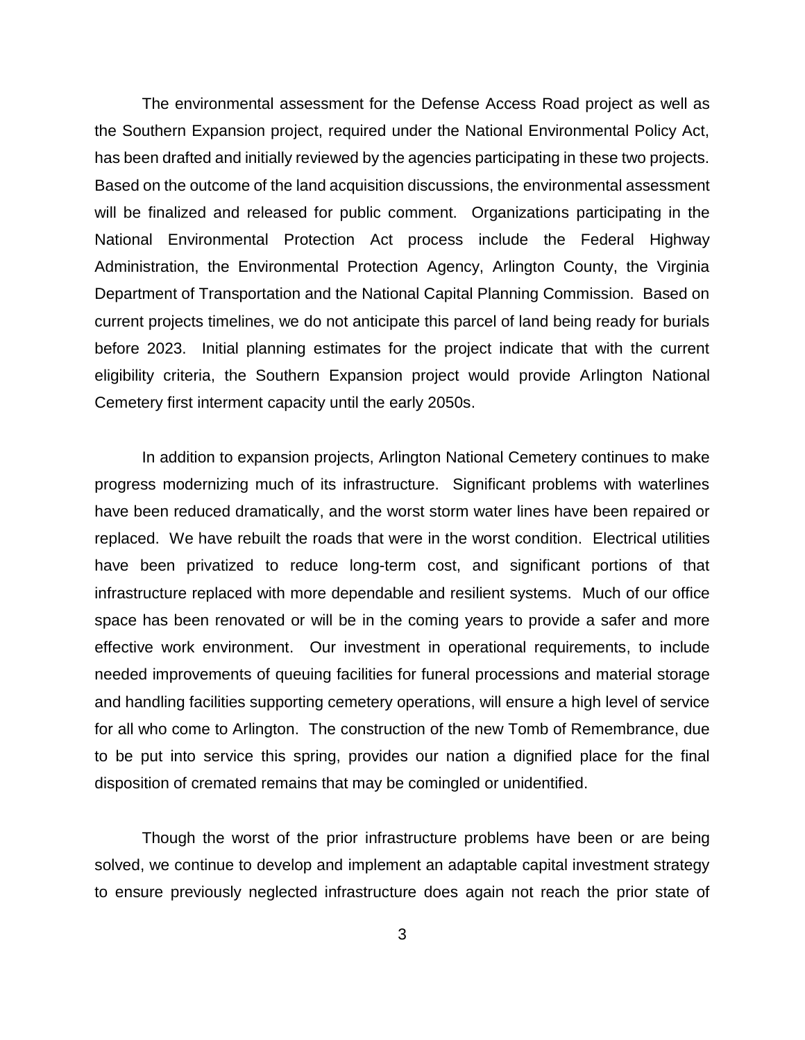The environmental assessment for the Defense Access Road project as well as the Southern Expansion project, required under the National Environmental Policy Act, has been drafted and initially reviewed by the agencies participating in these two projects. Based on the outcome of the land acquisition discussions, the environmental assessment will be finalized and released for public comment. Organizations participating in the National Environmental Protection Act process include the Federal Highway Administration, the Environmental Protection Agency, Arlington County, the Virginia Department of Transportation and the National Capital Planning Commission. Based on current projects timelines, we do not anticipate this parcel of land being ready for burials before 2023. Initial planning estimates for the project indicate that with the current eligibility criteria, the Southern Expansion project would provide Arlington National Cemetery first interment capacity until the early 2050s.

In addition to expansion projects, Arlington National Cemetery continues to make progress modernizing much of its infrastructure. Significant problems with waterlines have been reduced dramatically, and the worst storm water lines have been repaired or replaced. We have rebuilt the roads that were in the worst condition. Electrical utilities have been privatized to reduce long-term cost, and significant portions of that infrastructure replaced with more dependable and resilient systems. Much of our office space has been renovated or will be in the coming years to provide a safer and more effective work environment. Our investment in operational requirements, to include needed improvements of queuing facilities for funeral processions and material storage and handling facilities supporting cemetery operations, will ensure a high level of service for all who come to Arlington. The construction of the new Tomb of Remembrance, due to be put into service this spring, provides our nation a dignified place for the final disposition of cremated remains that may be comingled or unidentified.

Though the worst of the prior infrastructure problems have been or are being solved, we continue to develop and implement an adaptable capital investment strategy to ensure previously neglected infrastructure does again not reach the prior state of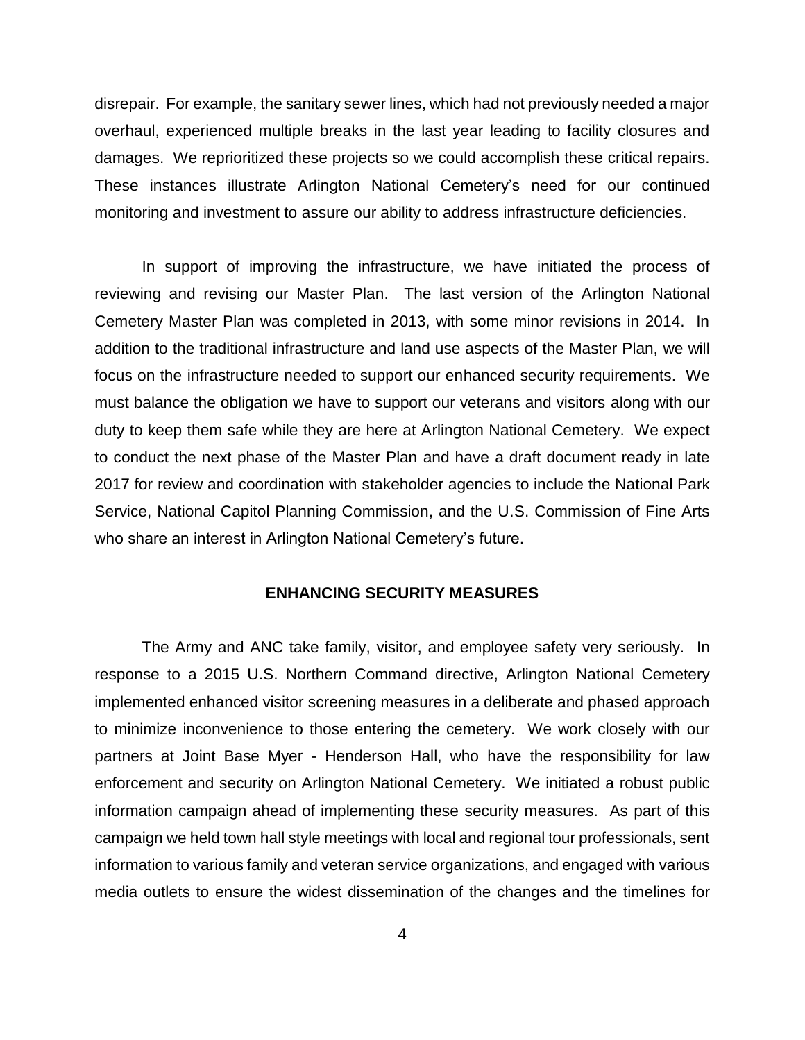disrepair. For example, the sanitary sewer lines, which had not previously needed a major overhaul, experienced multiple breaks in the last year leading to facility closures and damages. We reprioritized these projects so we could accomplish these critical repairs. These instances illustrate Arlington National Cemetery's need for our continued monitoring and investment to assure our ability to address infrastructure deficiencies.

In support of improving the infrastructure, we have initiated the process of reviewing and revising our Master Plan. The last version of the Arlington National Cemetery Master Plan was completed in 2013, with some minor revisions in 2014. In addition to the traditional infrastructure and land use aspects of the Master Plan, we will focus on the infrastructure needed to support our enhanced security requirements. We must balance the obligation we have to support our veterans and visitors along with our duty to keep them safe while they are here at Arlington National Cemetery. We expect to conduct the next phase of the Master Plan and have a draft document ready in late 2017 for review and coordination with stakeholder agencies to include the National Park Service, National Capitol Planning Commission, and the U.S. Commission of Fine Arts who share an interest in Arlington National Cemetery's future.

## **ENHANCING SECURITY MEASURES**

The Army and ANC take family, visitor, and employee safety very seriously. In response to a 2015 U.S. Northern Command directive, Arlington National Cemetery implemented enhanced visitor screening measures in a deliberate and phased approach to minimize inconvenience to those entering the cemetery. We work closely with our partners at Joint Base Myer - Henderson Hall, who have the responsibility for law enforcement and security on Arlington National Cemetery. We initiated a robust public information campaign ahead of implementing these security measures. As part of this campaign we held town hall style meetings with local and regional tour professionals, sent information to various family and veteran service organizations, and engaged with various media outlets to ensure the widest dissemination of the changes and the timelines for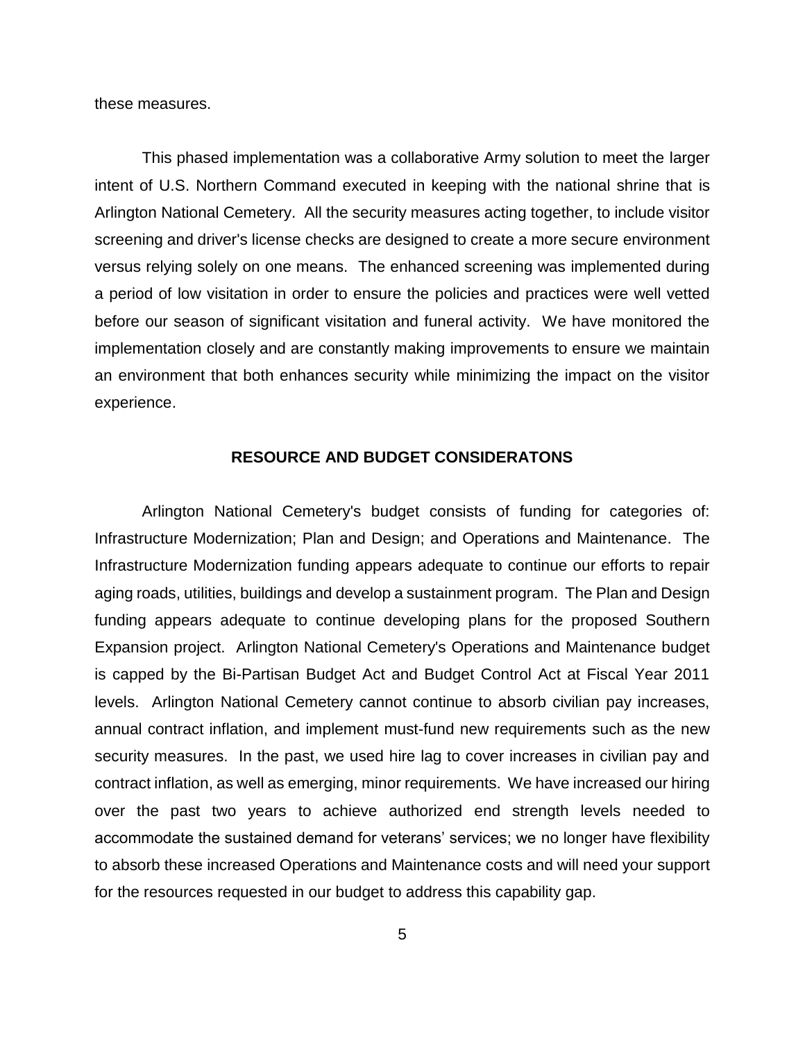these measures.

This phased implementation was a collaborative Army solution to meet the larger intent of U.S. Northern Command executed in keeping with the national shrine that is Arlington National Cemetery. All the security measures acting together, to include visitor screening and driver's license checks are designed to create a more secure environment versus relying solely on one means. The enhanced screening was implemented during a period of low visitation in order to ensure the policies and practices were well vetted before our season of significant visitation and funeral activity. We have monitored the implementation closely and are constantly making improvements to ensure we maintain an environment that both enhances security while minimizing the impact on the visitor experience.

## **RESOURCE AND BUDGET CONSIDERATONS**

Arlington National Cemetery's budget consists of funding for categories of: Infrastructure Modernization; Plan and Design; and Operations and Maintenance. The Infrastructure Modernization funding appears adequate to continue our efforts to repair aging roads, utilities, buildings and develop a sustainment program. The Plan and Design funding appears adequate to continue developing plans for the proposed Southern Expansion project. Arlington National Cemetery's Operations and Maintenance budget is capped by the Bi-Partisan Budget Act and Budget Control Act at Fiscal Year 2011 levels. Arlington National Cemetery cannot continue to absorb civilian pay increases, annual contract inflation, and implement must-fund new requirements such as the new security measures. In the past, we used hire lag to cover increases in civilian pay and contract inflation, as well as emerging, minor requirements. We have increased our hiring over the past two years to achieve authorized end strength levels needed to accommodate the sustained demand for veterans' services; we no longer have flexibility to absorb these increased Operations and Maintenance costs and will need your support for the resources requested in our budget to address this capability gap.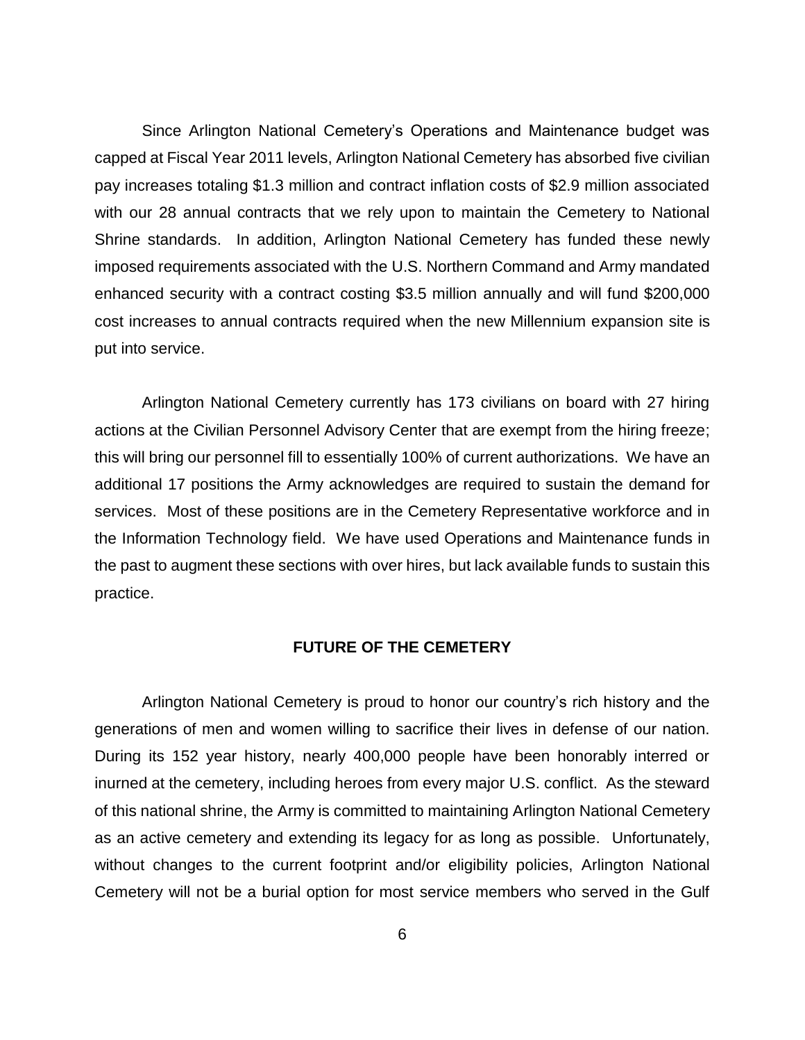Since Arlington National Cemetery's Operations and Maintenance budget was capped at Fiscal Year 2011 levels, Arlington National Cemetery has absorbed five civilian pay increases totaling \$1.3 million and contract inflation costs of \$2.9 million associated with our 28 annual contracts that we rely upon to maintain the Cemetery to National Shrine standards. In addition, Arlington National Cemetery has funded these newly imposed requirements associated with the U.S. Northern Command and Army mandated enhanced security with a contract costing \$3.5 million annually and will fund \$200,000 cost increases to annual contracts required when the new Millennium expansion site is put into service.

Arlington National Cemetery currently has 173 civilians on board with 27 hiring actions at the Civilian Personnel Advisory Center that are exempt from the hiring freeze; this will bring our personnel fill to essentially 100% of current authorizations. We have an additional 17 positions the Army acknowledges are required to sustain the demand for services. Most of these positions are in the Cemetery Representative workforce and in the Information Technology field. We have used Operations and Maintenance funds in the past to augment these sections with over hires, but lack available funds to sustain this practice.

### **FUTURE OF THE CEMETERY**

Arlington National Cemetery is proud to honor our country's rich history and the generations of men and women willing to sacrifice their lives in defense of our nation. During its 152 year history, nearly 400,000 people have been honorably interred or inurned at the cemetery, including heroes from every major U.S. conflict. As the steward of this national shrine, the Army is committed to maintaining Arlington National Cemetery as an active cemetery and extending its legacy for as long as possible. Unfortunately, without changes to the current footprint and/or eligibility policies, Arlington National Cemetery will not be a burial option for most service members who served in the Gulf